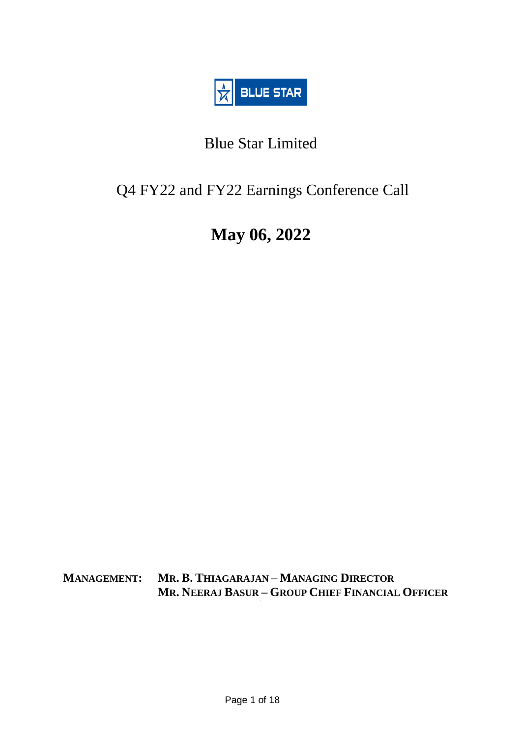

# Blue Star Limited

# Q4 FY22 and FY22 Earnings Conference Call

# **May 06, 2022**

**MANAGEMENT: MR. B. THIAGARAJAN – MANAGING DIRECTOR MR. NEERAJ BASUR – GROUP CHIEF FINANCIAL OFFICER**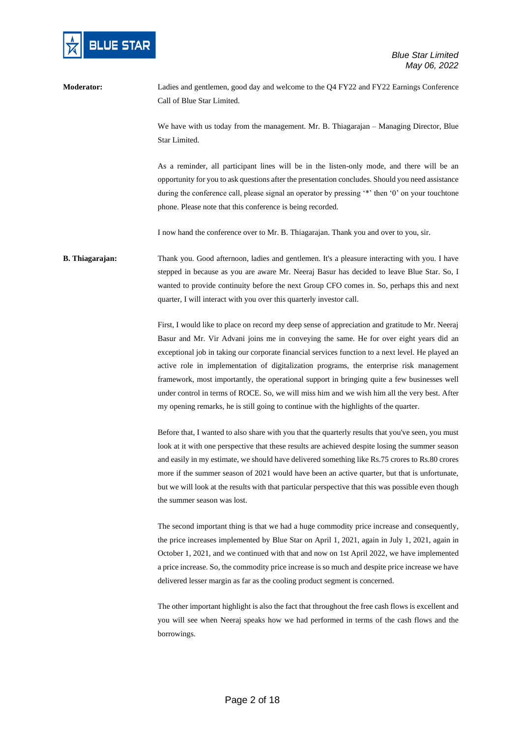

**Moderator:** Ladies and gentlemen, good day and welcome to the Q4 FY22 and FY22 Earnings Conference Call of Blue Star Limited.

> We have with us today from the management. Mr. B. Thiagarajan – Managing Director, Blue Star Limited.

> As a reminder, all participant lines will be in the listen-only mode, and there will be an opportunity for you to ask questions after the presentation concludes. Should you need assistance during the conference call, please signal an operator by pressing '\*' then '0' on your touchtone phone. Please note that this conference is being recorded.

I now hand the conference over to Mr. B. Thiagarajan. Thank you and over to you, sir.

# **B. Thiagarajan:** Thank you. Good afternoon, ladies and gentlemen. It's a pleasure interacting with you. I have stepped in because as you are aware Mr. Neeraj Basur has decided to leave Blue Star. So, I wanted to provide continuity before the next Group CFO comes in. So, perhaps this and next quarter, I will interact with you over this quarterly investor call.

First, I would like to place on record my deep sense of appreciation and gratitude to Mr. Neeraj Basur and Mr. Vir Advani joins me in conveying the same. He for over eight years did an exceptional job in taking our corporate financial services function to a next level. He played an active role in implementation of digitalization programs, the enterprise risk management framework, most importantly, the operational support in bringing quite a few businesses well under control in terms of ROCE. So, we will miss him and we wish him all the very best. After my opening remarks, he is still going to continue with the highlights of the quarter.

Before that, I wanted to also share with you that the quarterly results that you've seen, you must look at it with one perspective that these results are achieved despite losing the summer season and easily in my estimate, we should have delivered something like Rs.75 crores to Rs.80 crores more if the summer season of 2021 would have been an active quarter, but that is unfortunate, but we will look at the results with that particular perspective that this was possible even though the summer season was lost.

The second important thing is that we had a huge commodity price increase and consequently, the price increases implemented by Blue Star on April 1, 2021, again in July 1, 2021, again in October 1, 2021, and we continued with that and now on 1st April 2022, we have implemented a price increase. So, the commodity price increase is so much and despite price increase we have delivered lesser margin as far as the cooling product segment is concerned.

The other important highlight is also the fact that throughout the free cash flows is excellent and you will see when Neeraj speaks how we had performed in terms of the cash flows and the borrowings.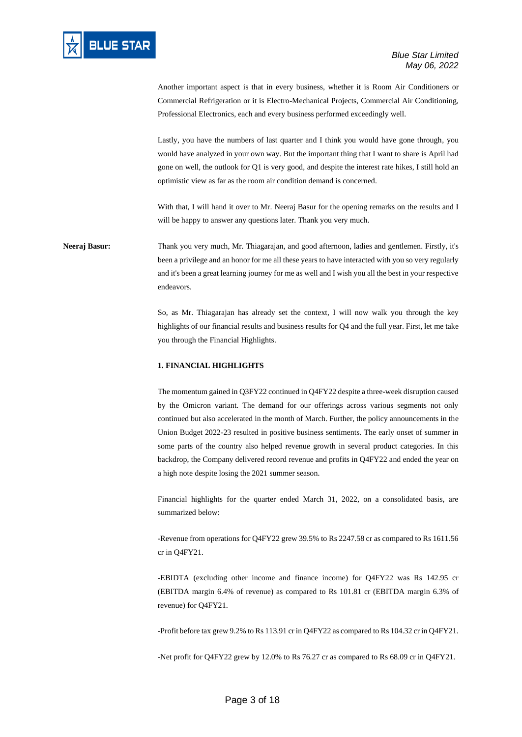

Another important aspect is that in every business, whether it is Room Air Conditioners or Commercial Refrigeration or it is Electro-Mechanical Projects, Commercial Air Conditioning, Professional Electronics, each and every business performed exceedingly well.

Lastly, you have the numbers of last quarter and I think you would have gone through, you would have analyzed in your own way. But the important thing that I want to share is April had gone on well, the outlook for Q1 is very good, and despite the interest rate hikes, I still hold an optimistic view as far as the room air condition demand is concerned.

With that, I will hand it over to Mr. Neeraj Basur for the opening remarks on the results and I will be happy to answer any questions later. Thank you very much.

**Neeraj Basur:** Thank you very much, Mr. Thiagarajan, and good afternoon, ladies and gentlemen. Firstly, it's been a privilege and an honor for me all these years to have interacted with you so very regularly and it's been a great learning journey for me as well and I wish you all the best in your respective endeavors.

> So, as Mr. Thiagarajan has already set the context, I will now walk you through the key highlights of our financial results and business results for Q4 and the full year. First, let me take you through the Financial Highlights.

## **1. FINANCIAL HIGHLIGHTS**

The momentum gained in Q3FY22 continued in Q4FY22 despite a three-week disruption caused by the Omicron variant. The demand for our offerings across various segments not only continued but also accelerated in the month of March. Further, the policy announcements in the Union Budget 2022-23 resulted in positive business sentiments. The early onset of summer in some parts of the country also helped revenue growth in several product categories. In this backdrop, the Company delivered record revenue and profits in Q4FY22 and ended the year on a high note despite losing the 2021 summer season.

Financial highlights for the quarter ended March 31, 2022, on a consolidated basis, are summarized below:

-Revenue from operations for Q4FY22 grew 39.5% to Rs 2247.58 cr as compared to Rs 1611.56 cr in Q4FY21.

-EBIDTA (excluding other income and finance income) for Q4FY22 was Rs 142.95 cr (EBITDA margin 6.4% of revenue) as compared to Rs 101.81 cr (EBITDA margin 6.3% of revenue) for Q4FY21.

-Profit before tax grew 9.2% to Rs 113.91 cr in Q4FY22 as compared to Rs 104.32 cr in Q4FY21.

-Net profit for Q4FY22 grew by 12.0% to Rs 76.27 cr as compared to Rs 68.09 cr in Q4FY21.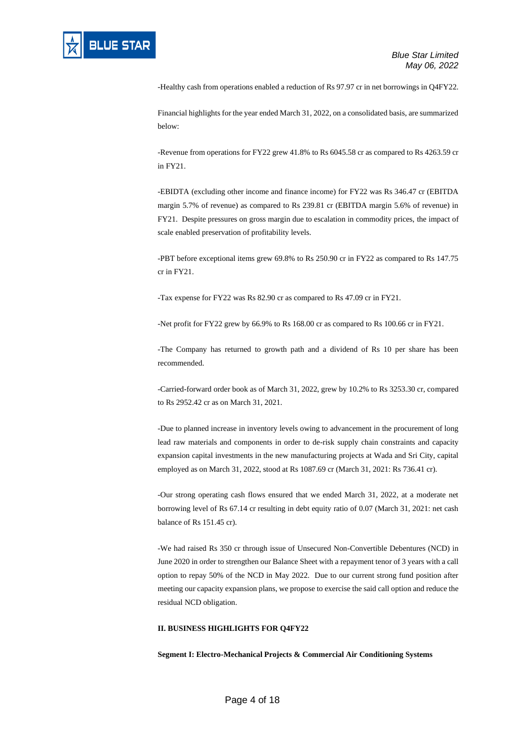

-Healthy cash from operations enabled a reduction of Rs 97.97 cr in net borrowings in Q4FY22.

Financial highlights for the year ended March 31, 2022, on a consolidated basis, are summarized below:

-Revenue from operations for FY22 grew 41.8% to Rs 6045.58 cr as compared to Rs 4263.59 cr in FY21.

-EBIDTA (excluding other income and finance income) for FY22 was Rs 346.47 cr (EBITDA margin 5.7% of revenue) as compared to Rs 239.81 cr (EBITDA margin 5.6% of revenue) in FY21. Despite pressures on gross margin due to escalation in commodity prices, the impact of scale enabled preservation of profitability levels.

-PBT before exceptional items grew 69.8% to Rs 250.90 cr in FY22 as compared to Rs 147.75 cr in FY21.

-Tax expense for FY22 was Rs 82.90 cr as compared to Rs 47.09 cr in FY21.

-Net profit for FY22 grew by 66.9% to Rs 168.00 cr as compared to Rs 100.66 cr in FY21.

-The Company has returned to growth path and a dividend of Rs 10 per share has been recommended.

-Carried-forward order book as of March 31, 2022, grew by 10.2% to Rs 3253.30 cr, compared to Rs 2952.42 cr as on March 31, 2021.

-Due to planned increase in inventory levels owing to advancement in the procurement of long lead raw materials and components in order to de-risk supply chain constraints and capacity expansion capital investments in the new manufacturing projects at Wada and Sri City, capital employed as on March 31, 2022, stood at Rs 1087.69 cr (March 31, 2021: Rs 736.41 cr).

-Our strong operating cash flows ensured that we ended March 31, 2022, at a moderate net borrowing level of Rs 67.14 cr resulting in debt equity ratio of 0.07 (March 31, 2021: net cash balance of Rs 151.45 cr).

-We had raised Rs 350 cr through issue of Unsecured Non-Convertible Debentures (NCD) in June 2020 in order to strengthen our Balance Sheet with a repayment tenor of 3 years with a call option to repay 50% of the NCD in May 2022. Due to our current strong fund position after meeting our capacity expansion plans, we propose to exercise the said call option and reduce the residual NCD obligation.

### **II. BUSINESS HIGHLIGHTS FOR Q4FY22**

**Segment I: Electro-Mechanical Projects & Commercial Air Conditioning Systems**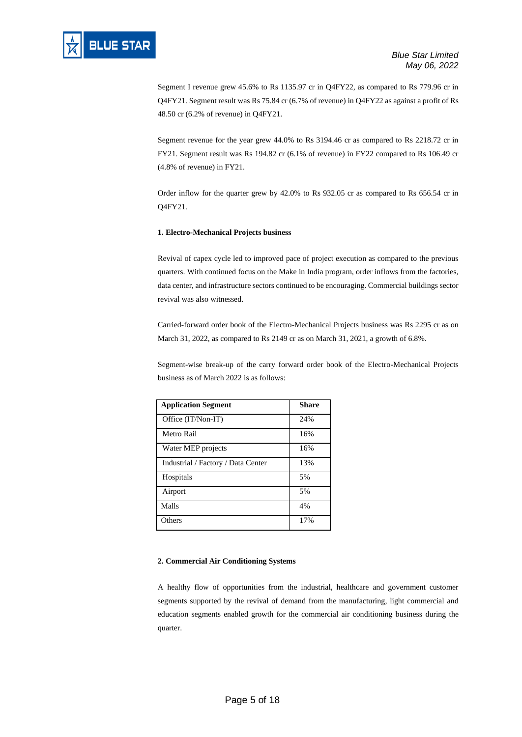Segment I revenue grew 45.6% to Rs 1135.97 cr in Q4FY22, as compared to Rs 779.96 cr in Q4FY21. Segment result was Rs 75.84 cr (6.7% of revenue) in Q4FY22 as against a profit of Rs 48.50 cr (6.2% of revenue) in Q4FY21.

Segment revenue for the year grew 44.0% to Rs 3194.46 cr as compared to Rs 2218.72 cr in FY21. Segment result was Rs 194.82 cr (6.1% of revenue) in FY22 compared to Rs 106.49 cr (4.8% of revenue) in FY21.

Order inflow for the quarter grew by 42.0% to Rs 932.05 cr as compared to Rs 656.54 cr in Q4FY21.

# **1. Electro-Mechanical Projects business**

Revival of capex cycle led to improved pace of project execution as compared to the previous quarters. With continued focus on the Make in India program, order inflows from the factories, data center, and infrastructure sectors continued to be encouraging. Commercial buildings sector revival was also witnessed.

Carried-forward order book of the Electro-Mechanical Projects business was Rs 2295 cr as on March 31, 2022, as compared to Rs 2149 cr as on March 31, 2021, a growth of 6.8%.

Segment-wise break-up of the carry forward order book of the Electro-Mechanical Projects business as of March 2022 is as follows:

| <b>Application Segment</b>         | <b>Share</b> |
|------------------------------------|--------------|
| Office (IT/Non-IT)                 | 24%          |
| Metro Rail                         | 16%          |
| Water MEP projects                 | 16%          |
| Industrial / Factory / Data Center | 13%          |
| Hospitals                          | 5%           |
| Airport                            | 5%           |
| Malls                              | 4%           |
| Others                             | 17%          |

## **2. Commercial Air Conditioning Systems**

A healthy flow of opportunities from the industrial, healthcare and government customer segments supported by the revival of demand from the manufacturing, light commercial and education segments enabled growth for the commercial air conditioning business during the quarter.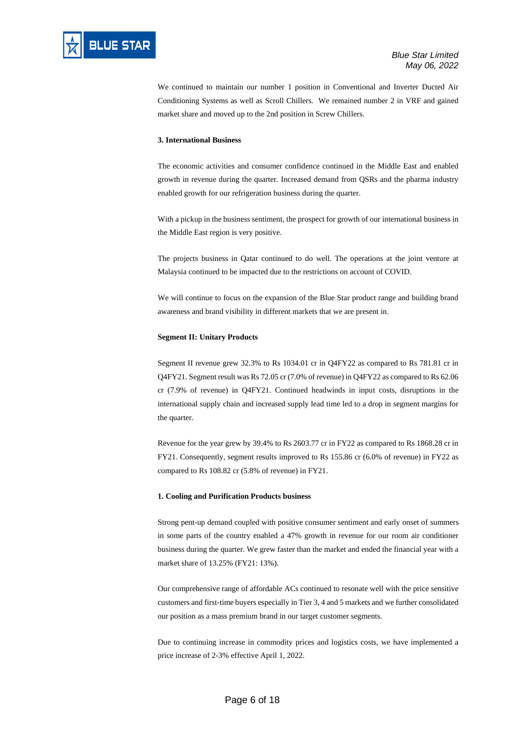

We continued to maintain our number 1 position in Conventional and Inverter Ducted Air Conditioning Systems as well as Scroll Chillers. We remained number 2 in VRF and gained market share and moved up to the 2nd position in Screw Chillers.

#### **3. International Business**

The economic activities and consumer confidence continued in the Middle East and enabled growth in revenue during the quarter. Increased demand from QSRs and the pharma industry enabled growth for our refrigeration business during the quarter.

With a pickup in the business sentiment, the prospect for growth of our international business in the Middle East region is very positive.

The projects business in Qatar continued to do well. The operations at the joint venture at Malaysia continued to be impacted due to the restrictions on account of COVID.

We will continue to focus on the expansion of the Blue Star product range and building brand awareness and brand visibility in different markets that we are present in.

#### **Segment II: Unitary Products**

Segment II revenue grew 32.3% to Rs 1034.01 cr in Q4FY22 as compared to Rs 781.81 cr in Q4FY21. Segment result was Rs 72.05 cr (7.0% of revenue) in Q4FY22 as compared to Rs 62.06 cr (7.9% of revenue) in Q4FY21. Continued headwinds in input costs, disruptions in the international supply chain and increased supply lead time led to a drop in segment margins for the quarter.

Revenue for the year grew by 39.4% to Rs 2603.77 cr in FY22 as compared to Rs 1868.28 cr in FY21. Consequently, segment results improved to Rs 155.86 cr (6.0% of revenue) in FY22 as compared to Rs 108.82 cr (5.8% of revenue) in FY21.

#### **1. Cooling and Purification Products business**

Strong pent-up demand coupled with positive consumer sentiment and early onset of summers in some parts of the country enabled a 47% growth in revenue for our room air conditioner business during the quarter. We grew faster than the market and ended the financial year with a market share of 13.25% (FY21: 13%).

Our comprehensive range of affordable ACs continued to resonate well with the price sensitive customers and first-time buyers especially in Tier 3, 4 and 5 markets and we further consolidated our position as a mass premium brand in our target customer segments.

Due to continuing increase in commodity prices and logistics costs, we have implemented a price increase of 2-3% effective April 1, 2022.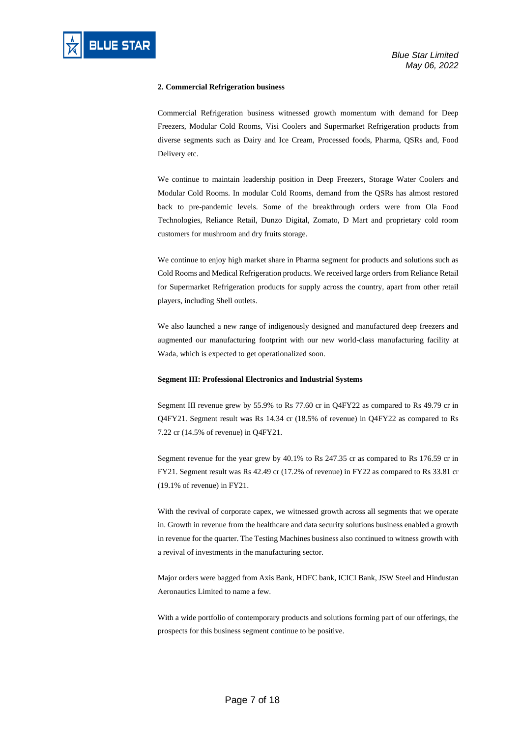

## **2. Commercial Refrigeration business**

Commercial Refrigeration business witnessed growth momentum with demand for Deep Freezers, Modular Cold Rooms, Visi Coolers and Supermarket Refrigeration products from diverse segments such as Dairy and Ice Cream, Processed foods, Pharma, QSRs and, Food Delivery etc.

We continue to maintain leadership position in Deep Freezers, Storage Water Coolers and Modular Cold Rooms. In modular Cold Rooms, demand from the QSRs has almost restored back to pre-pandemic levels. Some of the breakthrough orders were from Ola Food Technologies, Reliance Retail, Dunzo Digital, Zomato, D Mart and proprietary cold room customers for mushroom and dry fruits storage.

We continue to enjoy high market share in Pharma segment for products and solutions such as Cold Rooms and Medical Refrigeration products. We received large orders from Reliance Retail for Supermarket Refrigeration products for supply across the country, apart from other retail players, including Shell outlets.

We also launched a new range of indigenously designed and manufactured deep freezers and augmented our manufacturing footprint with our new world-class manufacturing facility at Wada, which is expected to get operationalized soon.

### **Segment III: Professional Electronics and Industrial Systems**

Segment III revenue grew by 55.9% to Rs 77.60 cr in Q4FY22 as compared to Rs 49.79 cr in Q4FY21. Segment result was Rs 14.34 cr (18.5% of revenue) in Q4FY22 as compared to Rs 7.22 cr (14.5% of revenue) in Q4FY21.

Segment revenue for the year grew by 40.1% to Rs 247.35 cr as compared to Rs 176.59 cr in FY21. Segment result was Rs 42.49 cr (17.2% of revenue) in FY22 as compared to Rs 33.81 cr (19.1% of revenue) in FY21.

With the revival of corporate capex, we witnessed growth across all segments that we operate in. Growth in revenue from the healthcare and data security solutions business enabled a growth in revenue for the quarter. The Testing Machines business also continued to witness growth with a revival of investments in the manufacturing sector.

Major orders were bagged from Axis Bank, HDFC bank, ICICI Bank, JSW Steel and Hindustan Aeronautics Limited to name a few.

With a wide portfolio of contemporary products and solutions forming part of our offerings, the prospects for this business segment continue to be positive.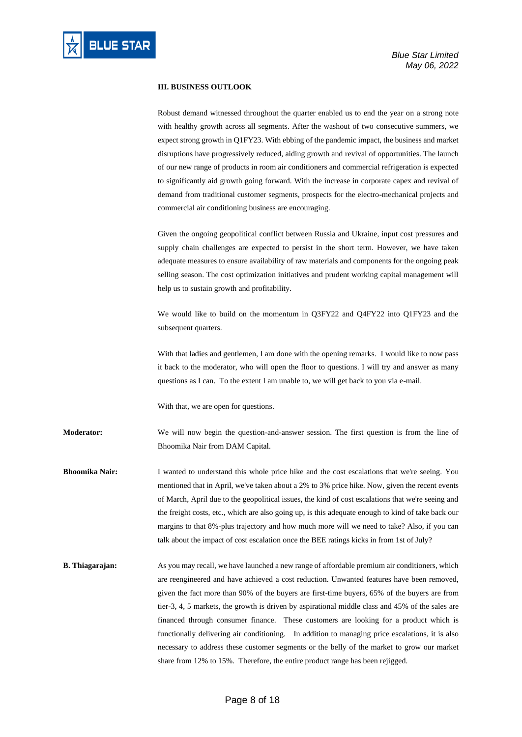

#### **III. BUSINESS OUTLOOK**

Robust demand witnessed throughout the quarter enabled us to end the year on a strong note with healthy growth across all segments. After the washout of two consecutive summers, we expect strong growth in Q1FY23. With ebbing of the pandemic impact, the business and market disruptions have progressively reduced, aiding growth and revival of opportunities. The launch of our new range of products in room air conditioners and commercial refrigeration is expected to significantly aid growth going forward. With the increase in corporate capex and revival of demand from traditional customer segments, prospects for the electro-mechanical projects and commercial air conditioning business are encouraging.

Given the ongoing geopolitical conflict between Russia and Ukraine, input cost pressures and supply chain challenges are expected to persist in the short term. However, we have taken adequate measures to ensure availability of raw materials and components for the ongoing peak selling season. The cost optimization initiatives and prudent working capital management will help us to sustain growth and profitability.

We would like to build on the momentum in Q3FY22 and Q4FY22 into Q1FY23 and the subsequent quarters.

With that ladies and gentlemen, I am done with the opening remarks. I would like to now pass it back to the moderator, who will open the floor to questions. I will try and answer as many questions as I can. To the extent I am unable to, we will get back to you via e-mail.

With that, we are open for questions.

**Moderator:** We will now begin the question-and-answer session. The first question is from the line of Bhoomika Nair from DAM Capital.

**Bhoomika Nair:** I wanted to understand this whole price hike and the cost escalations that we're seeing. You mentioned that in April, we've taken about a 2% to 3% price hike. Now, given the recent events of March, April due to the geopolitical issues, the kind of cost escalations that we're seeing and the freight costs, etc., which are also going up, is this adequate enough to kind of take back our margins to that 8%-plus trajectory and how much more will we need to take? Also, if you can talk about the impact of cost escalation once the BEE ratings kicks in from 1st of July?

**B. Thiagarajan:** As you may recall, we have launched a new range of affordable premium air conditioners, which are reengineered and have achieved a cost reduction. Unwanted features have been removed, given the fact more than 90% of the buyers are first-time buyers, 65% of the buyers are from tier-3, 4, 5 markets, the growth is driven by aspirational middle class and 45% of the sales are financed through consumer finance. These customers are looking for a product which is functionally delivering air conditioning. In addition to managing price escalations, it is also necessary to address these customer segments or the belly of the market to grow our market share from 12% to 15%. Therefore, the entire product range has been rejigged.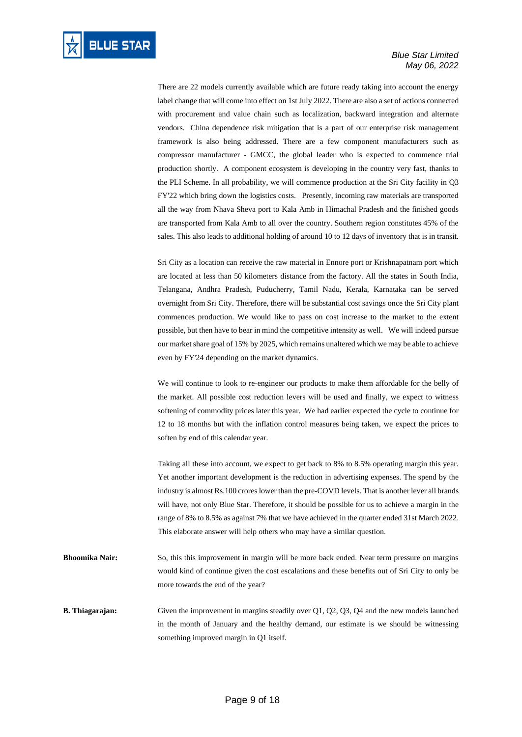There are 22 models currently available which are future ready taking into account the energy label change that will come into effect on 1st July 2022. There are also a set of actions connected with procurement and value chain such as localization, backward integration and alternate vendors. China dependence risk mitigation that is a part of our enterprise risk management framework is also being addressed. There are a few component manufacturers such as compressor manufacturer - GMCC, the global leader who is expected to commence trial production shortly. A component ecosystem is developing in the country very fast, thanks to the PLI Scheme. In all probability, we will commence production at the Sri City facility in Q3 FY'22 which bring down the logistics costs. Presently, incoming raw materials are transported all the way from Nhava Sheva port to Kala Amb in Himachal Pradesh and the finished goods are transported from Kala Amb to all over the country. Southern region constitutes 45% of the sales. This also leads to additional holding of around 10 to 12 days of inventory that is in transit.

Sri City as a location can receive the raw material in Ennore port or Krishnapatnam port which are located at less than 50 kilometers distance from the factory. All the states in South India, Telangana, Andhra Pradesh, Puducherry, Tamil Nadu, Kerala, Karnataka can be served overnight from Sri City. Therefore, there will be substantial cost savings once the Sri City plant commences production. We would like to pass on cost increase to the market to the extent possible, but then have to bear in mind the competitive intensity as well. We will indeed pursue our market share goal of 15% by 2025, which remains unaltered which we may be able to achieve even by FY'24 depending on the market dynamics.

We will continue to look to re-engineer our products to make them affordable for the belly of the market. All possible cost reduction levers will be used and finally, we expect to witness softening of commodity prices later this year. We had earlier expected the cycle to continue for 12 to 18 months but with the inflation control measures being taken, we expect the prices to soften by end of this calendar year.

Taking all these into account, we expect to get back to 8% to 8.5% operating margin this year. Yet another important development is the reduction in advertising expenses. The spend by the industry is almost Rs.100 crores lower than the pre-COVD levels. That is another lever all brands will have, not only Blue Star. Therefore, it should be possible for us to achieve a margin in the range of 8% to 8.5% as against 7% that we have achieved in the quarter ended 31st March 2022. This elaborate answer will help others who may have a similar question.

**Bhoomika Nair:** So, this this improvement in margin will be more back ended. Near term pressure on margins would kind of continue given the cost escalations and these benefits out of Sri City to only be more towards the end of the year?

**B. Thiagarajan:** Given the improvement in margins steadily over Q1, Q2, Q3, Q4 and the new models launched in the month of January and the healthy demand, our estimate is we should be witnessing something improved margin in Q1 itself.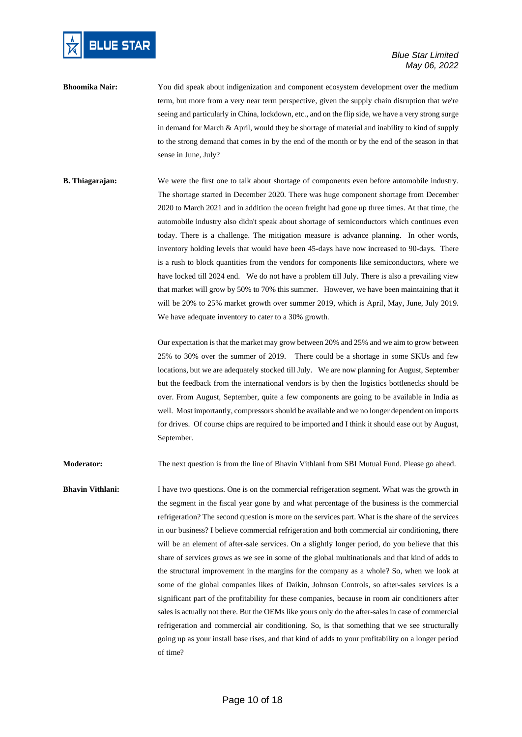

# *Blue Star Limited May 06, 2022*

- **Bhoomika Nair:** You did speak about indigenization and component ecosystem development over the medium term, but more from a very near term perspective, given the supply chain disruption that we're seeing and particularly in China, lockdown, etc., and on the flip side, we have a very strong surge in demand for March & April, would they be shortage of material and inability to kind of supply to the strong demand that comes in by the end of the month or by the end of the season in that sense in June, July?
- **B. Thiagarajan:** We were the first one to talk about shortage of components even before automobile industry. The shortage started in December 2020. There was huge component shortage from December 2020 to March 2021 and in addition the ocean freight had gone up three times. At that time, the automobile industry also didn't speak about shortage of semiconductors which continues even today. There is a challenge. The mitigation measure is advance planning. In other words, inventory holding levels that would have been 45-days have now increased to 90-days. There is a rush to block quantities from the vendors for components like semiconductors, where we have locked till 2024 end. We do not have a problem till July. There is also a prevailing view that market will grow by 50% to 70% this summer. However, we have been maintaining that it will be 20% to 25% market growth over summer 2019, which is April, May, June, July 2019. We have adequate inventory to cater to a 30% growth.

Our expectation is that the market may grow between 20% and 25% and we aim to grow between 25% to 30% over the summer of 2019. There could be a shortage in some SKUs and few locations, but we are adequately stocked till July. We are now planning for August, September but the feedback from the international vendors is by then the logistics bottlenecks should be over. From August, September, quite a few components are going to be available in India as well. Most importantly, compressors should be available and we no longer dependent on imports for drives. Of course chips are required to be imported and I think it should ease out by August, September.

**Moderator:** The next question is from the line of Bhavin Vithlani from SBI Mutual Fund. Please go ahead.

**Bhavin Vithlani:** I have two questions. One is on the commercial refrigeration segment. What was the growth in the segment in the fiscal year gone by and what percentage of the business is the commercial refrigeration? The second question is more on the services part. What is the share of the services in our business? I believe commercial refrigeration and both commercial air conditioning, there will be an element of after-sale services. On a slightly longer period, do you believe that this share of services grows as we see in some of the global multinationals and that kind of adds to the structural improvement in the margins for the company as a whole? So, when we look at some of the global companies likes of Daikin, Johnson Controls, so after-sales services is a significant part of the profitability for these companies, because in room air conditioners after sales is actually not there. But the OEMs like yours only do the after-sales in case of commercial refrigeration and commercial air conditioning. So, is that something that we see structurally going up as your install base rises, and that kind of adds to your profitability on a longer period of time?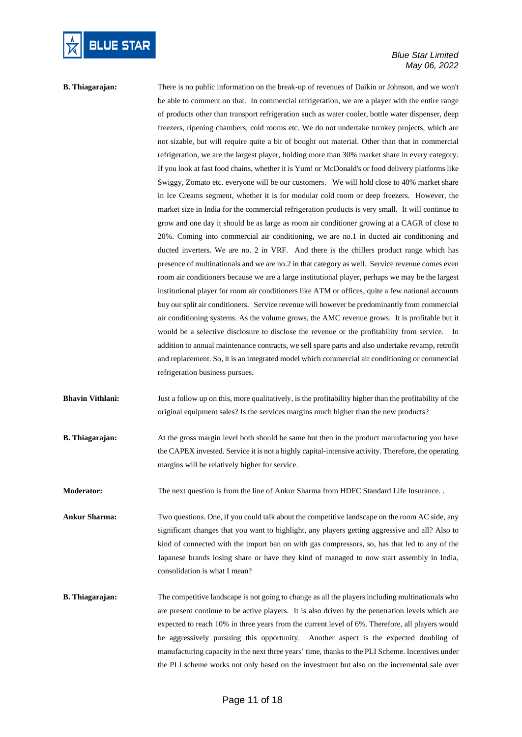

# *Blue Star Limited May 06, 2022*

# **B. Thiagarajan:** There is no public information on the break-up of revenues of Daikin or Johnson, and we won't be able to comment on that. In commercial refrigeration, we are a player with the entire range of products other than transport refrigeration such as water cooler, bottle water dispenser, deep freezers, ripening chambers, cold rooms etc. We do not undertake turnkey projects, which are not sizable, but will require quite a bit of bought out material. Other than that in commercial refrigeration, we are the largest player, holding more than 30% market share in every category. If you look at fast food chains, whether it is Yum! or McDonald's or food delivery platforms like Swiggy, Zomato etc. everyone will be our customers. We will hold close to 40% market share in Ice Creams segment, whether it is for modular cold room or deep freezers. However, the market size in India for the commercial refrigeration products is very small. It will continue to grow and one day it should be as large as room air conditioner growing at a CAGR of close to 20%. Coming into commercial air conditioning, we are no.1 in ducted air conditioning and ducted inverters. We are no. 2 in VRF. And there is the chillers product range which has presence of multinationals and we are no.2 in that category as well. Service revenue comes even room air conditioners because we are a large institutional player, perhaps we may be the largest institutional player for room air conditioners like ATM or offices, quite a few national accounts buy our split air conditioners. Service revenue will however be predominantly from commercial air conditioning systems. As the volume grows, the AMC revenue grows. It is profitable but it would be a selective disclosure to disclose the revenue or the profitability from service. In addition to annual maintenance contracts, we sell spare parts and also undertake revamp, retrofit and replacement. So, it is an integrated model which commercial air conditioning or commercial refrigeration business pursues.

- **Bhavin Vithlani:** Just a follow up on this, more qualitatively, is the profitability higher than the profitability of the original equipment sales? Is the services margins much higher than the new products?
- **B. Thiagarajan:** At the gross margin level both should be same but then in the product manufacturing you have the CAPEX invested. Service it is not a highly capital-intensive activity. Therefore, the operating margins will be relatively higher for service.

**Moderator:** The next question is from the line of Ankur Sharma from HDFC Standard Life Insurance. .

**Ankur Sharma:** Two questions. One, if you could talk about the competitive landscape on the room AC side, any significant changes that you want to highlight, any players getting aggressive and all? Also to kind of connected with the import ban on with gas compressors, so, has that led to any of the Japanese brands losing share or have they kind of managed to now start assembly in India, consolidation is what I mean?

**B. Thiagarajan:** The competitive landscape is not going to change as all the players including multinationals who are present continue to be active players. It is also driven by the penetration levels which are expected to reach 10% in three years from the current level of 6%. Therefore, all players would be aggressively pursuing this opportunity. Another aspect is the expected doubling of manufacturing capacity in the next three years' time, thanks to the PLI Scheme. Incentives under the PLI scheme works not only based on the investment but also on the incremental sale over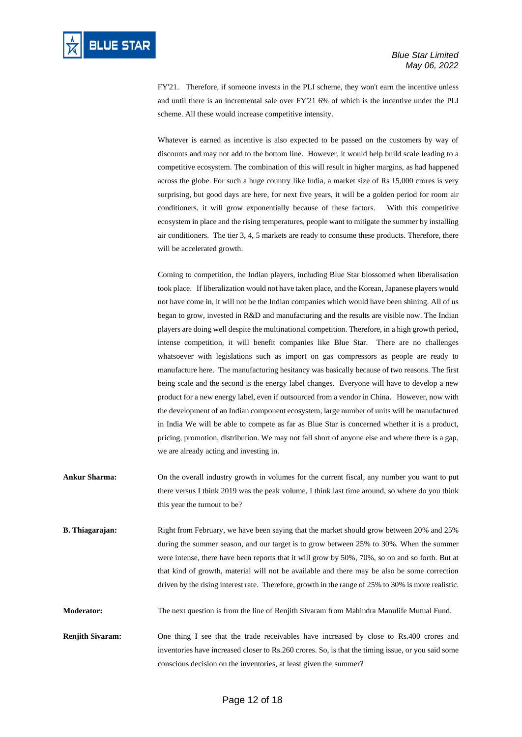FY'21. Therefore, if someone invests in the PLI scheme, they won't earn the incentive unless and until there is an incremental sale over FY'21 6% of which is the incentive under the PLI scheme. All these would increase competitive intensity.

Whatever is earned as incentive is also expected to be passed on the customers by way of discounts and may not add to the bottom line. However, it would help build scale leading to a competitive ecosystem. The combination of this will result in higher margins, as had happened across the globe. For such a huge country like India, a market size of Rs 15,000 crores is very surprising, but good days are here, for next five years, it will be a golden period for room air conditioners, it will grow exponentially because of these factors. With this competitive ecosystem in place and the rising temperatures, people want to mitigate the summer by installing air conditioners. The tier 3, 4, 5 markets are ready to consume these products. Therefore, there will be accelerated growth.

Coming to competition, the Indian players, including Blue Star blossomed when liberalisation took place. If liberalization would not have taken place, and the Korean, Japanese players would not have come in, it will not be the Indian companies which would have been shining. All of us began to grow, invested in R&D and manufacturing and the results are visible now. The Indian players are doing well despite the multinational competition. Therefore, in a high growth period, intense competition, it will benefit companies like Blue Star. There are no challenges whatsoever with legislations such as import on gas compressors as people are ready to manufacture here. The manufacturing hesitancy was basically because of two reasons. The first being scale and the second is the energy label changes. Everyone will have to develop a new product for a new energy label, even if outsourced from a vendor in China. However, now with the development of an Indian component ecosystem, large number of units will be manufactured in India We will be able to compete as far as Blue Star is concerned whether it is a product, pricing, promotion, distribution. We may not fall short of anyone else and where there is a gap, we are already acting and investing in.

- **Ankur Sharma:** On the overall industry growth in volumes for the current fiscal, any number you want to put there versus I think 2019 was the peak volume, I think last time around, so where do you think this year the turnout to be?
- **B. Thiagarajan:** Right from February, we have been saying that the market should grow between 20% and 25% during the summer season, and our target is to grow between 25% to 30%. When the summer were intense, there have been reports that it will grow by 50%, 70%, so on and so forth. But at that kind of growth, material will not be available and there may be also be some correction driven by the rising interest rate. Therefore, growth in the range of 25% to 30% is more realistic.

**Moderator:** The next question is from the line of Renjith Sivaram from Mahindra Manulife Mutual Fund.

**Renjith Sivaram:** One thing I see that the trade receivables have increased by close to Rs.400 crores and inventories have increased closer to Rs.260 crores. So, is that the timing issue, or you said some conscious decision on the inventories, at least given the summer?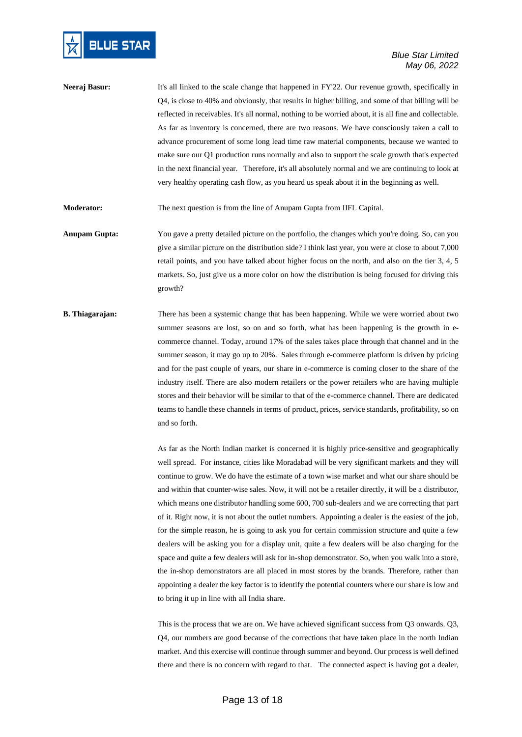

**Neeraj Basur:** It's all linked to the scale change that happened in FY'22. Our revenue growth, specifically in Q4, is close to 40% and obviously, that results in higher billing, and some of that billing will be reflected in receivables. It's all normal, nothing to be worried about, it is all fine and collectable. As far as inventory is concerned, there are two reasons. We have consciously taken a call to advance procurement of some long lead time raw material components, because we wanted to make sure our Q1 production runs normally and also to support the scale growth that's expected in the next financial year. Therefore, it's all absolutely normal and we are continuing to look at very healthy operating cash flow, as you heard us speak about it in the beginning as well.

**Moderator:** The next question is from the line of Anupam Gupta from IIFL Capital.

- **Anupam Gupta:** You gave a pretty detailed picture on the portfolio, the changes which you're doing. So, can you give a similar picture on the distribution side? I think last year, you were at close to about 7,000 retail points, and you have talked about higher focus on the north, and also on the tier 3, 4, 5 markets. So, just give us a more color on how the distribution is being focused for driving this growth?
- **B. Thiagarajan:** There has been a systemic change that has been happening. While we were worried about two summer seasons are lost, so on and so forth, what has been happening is the growth in ecommerce channel. Today, around 17% of the sales takes place through that channel and in the summer season, it may go up to 20%. Sales through e-commerce platform is driven by pricing and for the past couple of years, our share in e-commerce is coming closer to the share of the industry itself. There are also modern retailers or the power retailers who are having multiple stores and their behavior will be similar to that of the e-commerce channel. There are dedicated teams to handle these channels in terms of product, prices, service standards, profitability, so on and so forth.

As far as the North Indian market is concerned it is highly price-sensitive and geographically well spread. For instance, cities like Moradabad will be very significant markets and they will continue to grow. We do have the estimate of a town wise market and what our share should be and within that counter-wise sales. Now, it will not be a retailer directly, it will be a distributor, which means one distributor handling some 600, 700 sub-dealers and we are correcting that part of it. Right now, it is not about the outlet numbers. Appointing a dealer is the easiest of the job, for the simple reason, he is going to ask you for certain commission structure and quite a few dealers will be asking you for a display unit, quite a few dealers will be also charging for the space and quite a few dealers will ask for in-shop demonstrator. So, when you walk into a store, the in-shop demonstrators are all placed in most stores by the brands. Therefore, rather than appointing a dealer the key factor is to identify the potential counters where our share is low and to bring it up in line with all India share.

This is the process that we are on. We have achieved significant success from Q3 onwards. Q3, Q4, our numbers are good because of the corrections that have taken place in the north Indian market. And this exercise will continue through summer and beyond. Our process is well defined there and there is no concern with regard to that. The connected aspect is having got a dealer,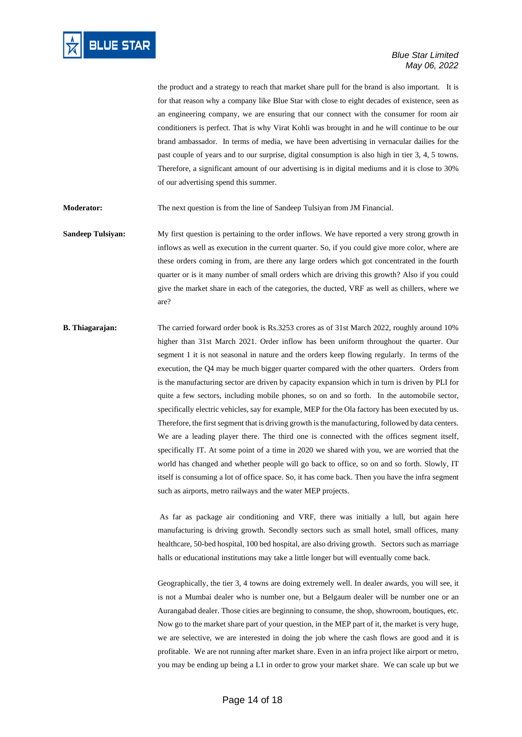

the product and a strategy to reach that market share pull for the brand is also important. It is for that reason why a company like Blue Star with close to eight decades of existence, seen as an engineering company, we are ensuring that our connect with the consumer for room air conditioners is perfect. That is why Virat Kohli was brought in and he will continue to be our brand ambassador. In terms of media, we have been advertising in vernacular dailies for the past couple of years and to our surprise, digital consumption is also high in tier 3, 4, 5 towns. Therefore, a significant amount of our advertising is in digital mediums and it is close to 30% of our advertising spend this summer.

**Moderator:** The next question is from the line of Sandeep Tulsiyan from JM Financial.

**Sandeep Tulsiyan:** My first question is pertaining to the order inflows. We have reported a very strong growth in inflows as well as execution in the current quarter. So, if you could give more color, where are these orders coming in from, are there any large orders which got concentrated in the fourth quarter or is it many number of small orders which are driving this growth? Also if you could give the market share in each of the categories, the ducted, VRF as well as chillers, where we are?

**B. Thiagarajan:** The carried forward order book is Rs.3253 crores as of 31st March 2022, roughly around 10% higher than 31st March 2021. Order inflow has been uniform throughout the quarter. Our segment 1 it is not seasonal in nature and the orders keep flowing regularly. In terms of the execution, the Q4 may be much bigger quarter compared with the other quarters. Orders from is the manufacturing sector are driven by capacity expansion which in turn is driven by PLI for quite a few sectors, including mobile phones, so on and so forth. In the automobile sector, specifically electric vehicles, say for example, MEP for the Ola factory has been executed by us. Therefore, the first segment that is driving growth isthe manufacturing, followed by data centers. We are a leading player there. The third one is connected with the offices segment itself, specifically IT. At some point of a time in 2020 we shared with you, we are worried that the world has changed and whether people will go back to office, so on and so forth. Slowly, IT itself is consuming a lot of office space. So, it has come back. Then you have the infra segment such as airports, metro railways and the water MEP projects.

> As far as package air conditioning and VRF, there was initially a lull, but again here manufacturing is driving growth. Secondly sectors such as small hotel, small offices, many healthcare, 50-bed hospital, 100 bed hospital, are also driving growth. Sectors such as marriage halls or educational institutions may take a little longer but will eventually come back.

> Geographically, the tier 3, 4 towns are doing extremely well. In dealer awards, you will see, it is not a Mumbai dealer who is number one, but a Belgaum dealer will be number one or an Aurangabad dealer. Those cities are beginning to consume, the shop, showroom, boutiques, etc. Now go to the market share part of your question, in the MEP part of it, the market is very huge, we are selective, we are interested in doing the job where the cash flows are good and it is profitable. We are not running after market share. Even in an infra project like airport or metro, you may be ending up being a L1 in order to grow your market share. We can scale up but we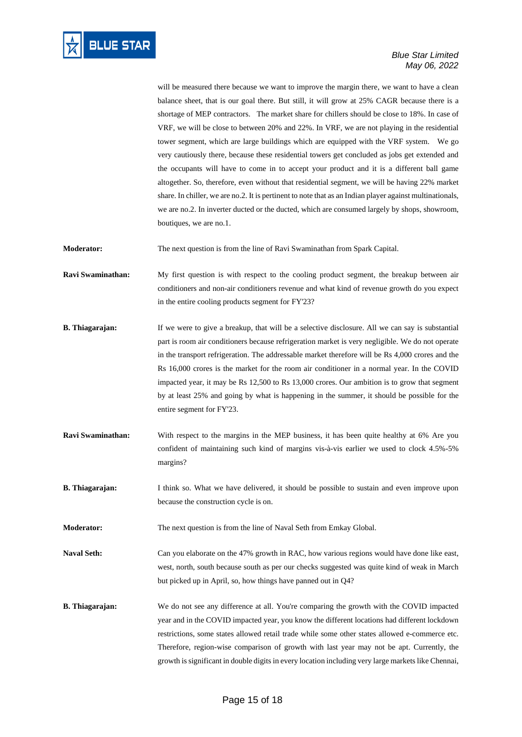

will be measured there because we want to improve the margin there, we want to have a clean balance sheet, that is our goal there. But still, it will grow at 25% CAGR because there is a shortage of MEP contractors. The market share for chillers should be close to 18%. In case of VRF, we will be close to between 20% and 22%. In VRF, we are not playing in the residential tower segment, which are large buildings which are equipped with the VRF system. We go very cautiously there, because these residential towers get concluded as jobs get extended and the occupants will have to come in to accept your product and it is a different ball game altogether. So, therefore, even without that residential segment, we will be having 22% market share. In chiller, we are no.2. It is pertinent to note that as an Indian player against multinationals, we are no.2. In inverter ducted or the ducted, which are consumed largely by shops, showroom, boutiques, we are no.1.

**Moderator:** The next question is from the line of Ravi Swaminathan from Spark Capital.

**Ravi Swaminathan:** My first question is with respect to the cooling product segment, the breakup between air conditioners and non-air conditioners revenue and what kind of revenue growth do you expect in the entire cooling products segment for FY'23?

- **B. Thiagarajan:** If we were to give a breakup, that will be a selective disclosure. All we can say is substantial part is room air conditioners because refrigeration market is very negligible. We do not operate in the transport refrigeration. The addressable market therefore will be Rs 4,000 crores and the Rs 16,000 crores is the market for the room air conditioner in a normal year. In the COVID impacted year, it may be Rs 12,500 to Rs 13,000 crores. Our ambition is to grow that segment by at least 25% and going by what is happening in the summer, it should be possible for the entire segment for FY'23.
- **Ravi Swaminathan:** With respect to the margins in the MEP business, it has been quite healthy at 6% Are you confident of maintaining such kind of margins vis-à-vis earlier we used to clock 4.5%-5% margins?
- **B. Thiagarajan:** I think so. What we have delivered, it should be possible to sustain and even improve upon because the construction cycle is on.
- **Moderator:** The next question is from the line of Naval Seth from Emkay Global.
- Naval Seth: Can you elaborate on the 47% growth in RAC, how various regions would have done like east, west, north, south because south as per our checks suggested was quite kind of weak in March but picked up in April, so, how things have panned out in Q4?
- **B. Thiagarajan:** We do not see any difference at all. You're comparing the growth with the COVID impacted year and in the COVID impacted year, you know the different locations had different lockdown restrictions, some states allowed retail trade while some other states allowed e-commerce etc. Therefore, region-wise comparison of growth with last year may not be apt. Currently, the growth is significant in double digits in every location including very large markets like Chennai,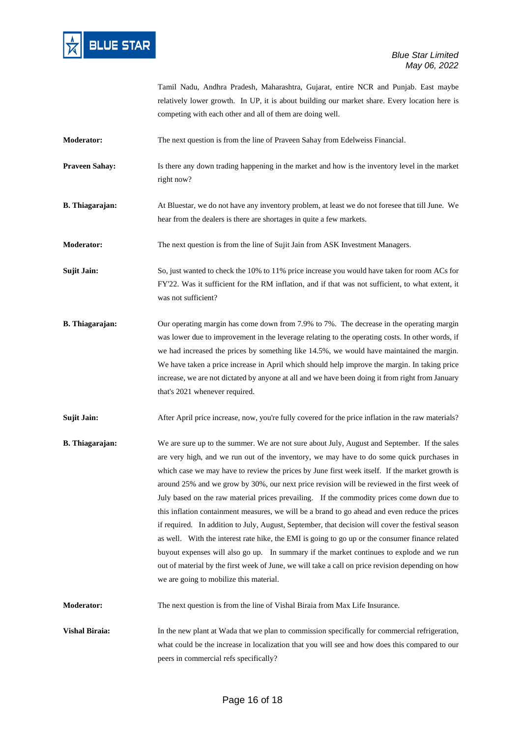

Tamil Nadu, Andhra Pradesh, Maharashtra, Gujarat, entire NCR and Punjab. East maybe relatively lower growth. In UP, it is about building our market share. Every location here is competing with each other and all of them are doing well.

**Moderator:** The next question is from the line of Praveen Sahay from Edelweiss Financial.

**Praveen Sahay:** Is there any down trading happening in the market and how is the inventory level in the market right now?

**B. Thiagarajan:** At Bluestar, we do not have any inventory problem, at least we do not foresee that till June. We hear from the dealers is there are shortages in quite a few markets.

**Moderator:** The next question is from the line of Sujit Jain from ASK Investment Managers.

**Sujit Jain:** So, just wanted to check the 10% to 11% price increase you would have taken for room ACs for FY'22. Was it sufficient for the RM inflation, and if that was not sufficient, to what extent, it was not sufficient?

**B. Thiagarajan:** Our operating margin has come down from 7.9% to 7%. The decrease in the operating margin was lower due to improvement in the leverage relating to the operating costs. In other words, if we had increased the prices by something like 14.5%, we would have maintained the margin. We have taken a price increase in April which should help improve the margin. In taking price increase, we are not dictated by anyone at all and we have been doing it from right from January that's 2021 whenever required.

**Sujit Jain:** After April price increase, now, you're fully covered for the price inflation in the raw materials?

**B. Thiagarajan:** We are sure up to the summer. We are not sure about July, August and September. If the sales are very high, and we run out of the inventory, we may have to do some quick purchases in which case we may have to review the prices by June first week itself. If the market growth is around 25% and we grow by 30%, our next price revision will be reviewed in the first week of July based on the raw material prices prevailing. If the commodity prices come down due to this inflation containment measures, we will be a brand to go ahead and even reduce the prices if required. In addition to July, August, September, that decision will cover the festival season as well. With the interest rate hike, the EMI is going to go up or the consumer finance related buyout expenses will also go up. In summary if the market continues to explode and we run out of material by the first week of June, we will take a call on price revision depending on how we are going to mobilize this material.

**Moderator:** The next question is from the line of Vishal Biraia from Max Life Insurance.

**Vishal Biraia:** In the new plant at Wada that we plan to commission specifically for commercial refrigeration, what could be the increase in localization that you will see and how does this compared to our peers in commercial refs specifically?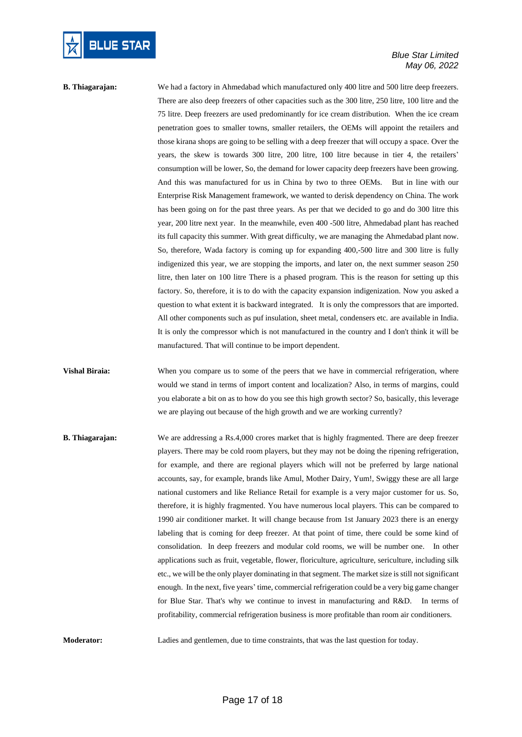

# **B. Thiagarajan:** We had a factory in Ahmedabad which manufactured only 400 litre and 500 litre deep freezers. There are also deep freezers of other capacities such as the 300 litre, 250 litre, 100 litre and the 75 litre. Deep freezers are used predominantly for ice cream distribution. When the ice cream penetration goes to smaller towns, smaller retailers, the OEMs will appoint the retailers and those kirana shops are going to be selling with a deep freezer that will occupy a space. Over the years, the skew is towards 300 litre, 200 litre, 100 litre because in tier 4, the retailers' consumption will be lower, So, the demand for lower capacity deep freezers have been growing. And this was manufactured for us in China by two to three OEMs. But in line with our Enterprise Risk Management framework, we wanted to derisk dependency on China. The work has been going on for the past three years. As per that we decided to go and do 300 litre this year, 200 litre next year. In the meanwhile, even 400 -500 litre, Ahmedabad plant has reached its full capacity this summer. With great difficulty, we are managing the Ahmedabad plant now. So, therefore, Wada factory is coming up for expanding 400,-500 litre and 300 litre is fully indigenized this year, we are stopping the imports, and later on, the next summer season 250 litre, then later on 100 litre There is a phased program. This is the reason for setting up this factory. So, therefore, it is to do with the capacity expansion indigenization. Now you asked a question to what extent it is backward integrated. It is only the compressors that are imported. All other components such as puf insulation, sheet metal, condensers etc. are available in India. It is only the compressor which is not manufactured in the country and I don't think it will be manufactured. That will continue to be import dependent.

**Vishal Biraia:** When you compare us to some of the peers that we have in commercial refrigeration, where would we stand in terms of import content and localization? Also, in terms of margins, could you elaborate a bit on as to how do you see this high growth sector? So, basically, this leverage we are playing out because of the high growth and we are working currently?

**B. Thiagarajan:** We are addressing a Rs.4,000 crores market that is highly fragmented. There are deep freezer players. There may be cold room players, but they may not be doing the ripening refrigeration, for example, and there are regional players which will not be preferred by large national accounts, say, for example, brands like Amul, Mother Dairy, Yum!, Swiggy these are all large national customers and like Reliance Retail for example is a very major customer for us. So, therefore, it is highly fragmented. You have numerous local players. This can be compared to 1990 air conditioner market. It will change because from 1st January 2023 there is an energy labeling that is coming for deep freezer. At that point of time, there could be some kind of consolidation. In deep freezers and modular cold rooms, we will be number one. In other applications such as fruit, vegetable, flower, floriculture, agriculture, sericulture, including silk etc., we will be the only player dominating in that segment. The market size is still not significant enough. In the next, five years' time, commercial refrigeration could be a very big game changer for Blue Star. That's why we continue to invest in manufacturing and R&D. In terms of profitability, commercial refrigeration business is more profitable than room air conditioners.

**Moderator:** Ladies and gentlemen, due to time constraints, that was the last question for today.